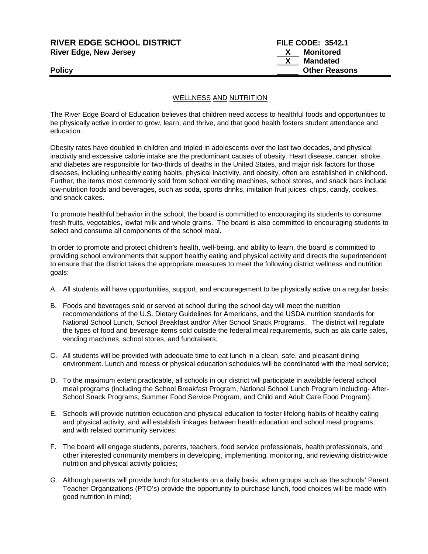# **RIVER EDGE SCHOOL DISTRICT FILE CODE: 3542.1 River Edge, New Jersey New York Construction Ave. 2018 New York Construction Ave. 2019**

 **X Mandated Policy Other Reasons**

## WELLNESS AND NUTRITION

The River Edge Board of Education believes that children need access to healthful foods and opportunities to be physically active in order to grow, learn, and thrive, and that good health fosters student attendance and education.

Obesity rates have doubled in children and tripled in adolescents over the last two decades, and physical inactivity and excessive calorie intake are the predominant causes of obesity. Heart disease, cancer, stroke, and diabetes are responsible for two-thirds of deaths in the United States, and major risk factors for those diseases, including unhealthy eating habits, physical inactivity, and obesity, often are established in childhood. Further, the items most commonly sold from school vending machines, school stores, and snack bars include low-nutrition foods and beverages, such as soda, sports drinks, imitation fruit juices, chips, candy, cookies, and snack cakes.

To promote healthful behavior in the school, the board is committed to encouraging its students to consume fresh fruits, vegetables, lowfat milk and whole grains. The board is also committed to encouraging students to select and consume all components of the school meal.

In order to promote and protect children's health, well-being, and ability to learn, the board is committed to providing school environments that support healthy eating and physical activity and directs the superintendent to ensure that the district takes the appropriate measures to meet the following district wellness and nutrition goals:

- A. All students will have opportunities, support, and encouragement to be physically active on a regular basis;
- B. Foods and beverages sold or served at school during the school day will meet the nutrition recommendations of the U.S. Dietary Guidelines for Americans, and the USDA nutrition standards for National School Lunch, School Breakfast and/or After School Snack Programs. The district will regulate the types of food and beverage items sold outside the federal meal requirements, such as ala carte sales, vending machines, school stores, and fundraisers;
- C. All students will be provided with adequate time to eat lunch in a clean, safe, and pleasant dining environment. Lunch and recess or physical education schedules will be coordinated with the meal service;
- D. To the maximum extent practicable, all schools in our district will participate in available federal school meal programs (including the School Breakfast Program, National School Lunch Program including- After-School Snack Programs, Summer Food Service Program, and Child and Adult Care Food Program);
- E. Schools will provide nutrition education and physical education to foster lifelong habits of healthy eating and physical activity, and will establish linkages between health education and school meal programs, and with related community services;
- F. The board will engage students, parents, teachers, food service professionals, health professionals, and other interested community members in developing, implementing, monitoring, and reviewing district-wide nutrition and physical activity policies;
- G. Although parents will provide lunch for students on a daily basis, when groups such as the schools' Parent Teacher Organizations (PTO's) provide the opportunity to purchase lunch, food choices will be made with good nutrition in mind;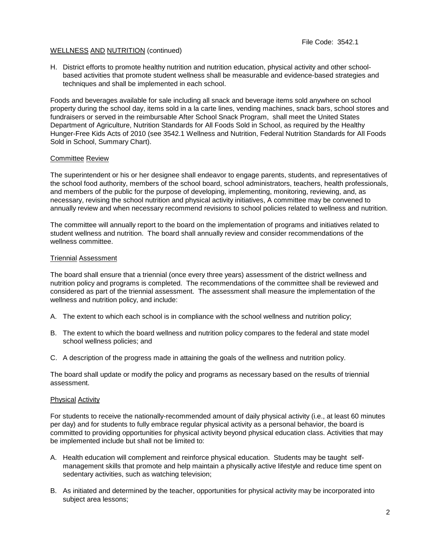H. District efforts to promote healthy nutrition and nutrition education, physical activity and other schoolbased activities that promote student wellness shall be measurable and evidence-based strategies and techniques and shall be implemented in each school.

Foods and beverages available for sale including all snack and beverage items sold anywhere on school property during the school day, items sold in a la carte lines, vending machines, snack bars, school stores and fundraisers or served in the reimbursable After School Snack Program, shall meet the United States Department of Agriculture, Nutrition Standards for All Foods Sold in School, as required by the Healthy Hunger-Free Kids Acts of 2010 (see 3542.1 Wellness and Nutrition, Federal Nutrition Standards for All Foods Sold in School, Summary Chart).

## Committee Review

The superintendent or his or her designee shall endeavor to engage parents, students, and representatives of the school food authority, members of the school board, school administrators, teachers, health professionals, and members of the public for the purpose of developing, implementing, monitoring, reviewing, and, as necessary, revising the school nutrition and physical activity initiatives, A committee may be convened to annually review and when necessary recommend revisions to school policies related to wellness and nutrition.

The committee will annually report to the board on the implementation of programs and initiatives related to student wellness and nutrition. The board shall annually review and consider recommendations of the wellness committee.

## Triennial Assessment

The board shall ensure that a triennial (once every three years) assessment of the district wellness and nutrition policy and programs is completed. The recommendations of the committee shall be reviewed and considered as part of the triennial assessment. The assessment shall measure the implementation of the wellness and nutrition policy, and include:

- A. The extent to which each school is in compliance with the school wellness and nutrition policy;
- B. The extent to which the board wellness and nutrition policy compares to the federal and state model school wellness policies; and
- C. A description of the progress made in attaining the goals of the wellness and nutrition policy.

The board shall update or modify the policy and programs as necessary based on the results of triennial assessment.

#### Physical Activity

For students to receive the nationally-recommended amount of daily physical activity (i.e., at least 60 minutes per day) and for students to fully embrace regular physical activity as a personal behavior, the board is committed to providing opportunities for physical activity beyond physical education class. Activities that may be implemented include but shall not be limited to:

- A. Health education will complement and reinforce physical education. Students may be taught selfmanagement skills that promote and help maintain a physically active lifestyle and reduce time spent on sedentary activities, such as watching television;
- B. As initiated and determined by the teacher, opportunities for physical activity may be incorporated into subject area lessons;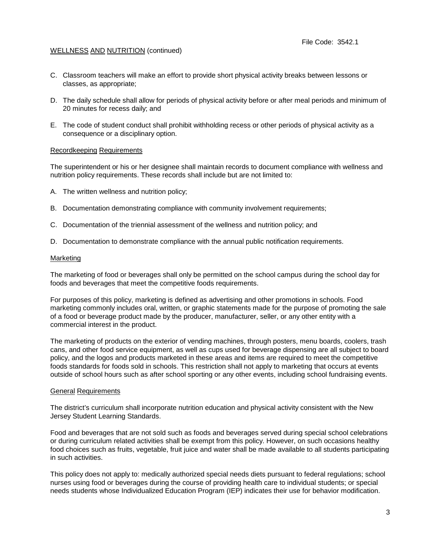- C. Classroom teachers will make an effort to provide short physical activity breaks between lessons or classes, as appropriate;
- D. The daily schedule shall allow for periods of physical activity before or after meal periods and minimum of 20 minutes for recess daily; and
- E. The code of student conduct shall prohibit withholding recess or other periods of physical activity as a consequence or a disciplinary option.

#### Recordkeeping Requirements

The superintendent or his or her designee shall maintain records to document compliance with wellness and nutrition policy requirements. These records shall include but are not limited to:

- A. The written wellness and nutrition policy;
- B. Documentation demonstrating compliance with community involvement requirements;
- C. Documentation of the triennial assessment of the wellness and nutrition policy; and
- D. Documentation to demonstrate compliance with the annual public notification requirements.

#### Marketing

The marketing of food or beverages shall only be permitted on the school campus during the school day for foods and beverages that meet the competitive foods requirements.

For purposes of this policy, marketing is defined as advertising and other promotions in schools. Food marketing commonly includes oral, written, or graphic statements made for the purpose of promoting the sale of a food or beverage product made by the producer, manufacturer, seller, or any other entity with a commercial interest in the product.

The marketing of products on the exterior of vending machines, through posters, menu boards, coolers, trash cans, and other food service equipment, as well as cups used for beverage dispensing are all subject to board policy, and the logos and products marketed in these areas and items are required to meet the competitive foods standards for foods sold in schools. This restriction shall not apply to marketing that occurs at events outside of school hours such as after school sporting or any other events, including school fundraising events.

#### General Requirements

The district's curriculum shall incorporate nutrition education and physical activity consistent with the New Jersey Student Learning Standards.

Food and beverages that are not sold such as foods and beverages served during special school celebrations or during curriculum related activities shall be exempt from this policy. However, on such occasions healthy food choices such as fruits, vegetable, fruit juice and water shall be made available to all students participating in such activities.

This policy does not apply to: medically authorized special needs diets pursuant to federal regulations; school nurses using food or beverages during the course of providing health care to individual students; or special needs students whose Individualized Education Program (IEP) indicates their use for behavior modification.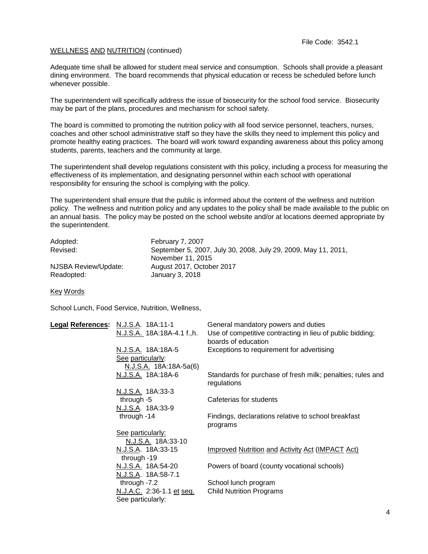Adequate time shall be allowed for student meal service and consumption. Schools shall provide a pleasant dining environment. The board recommends that physical education or recess be scheduled before lunch whenever possible.

The superintendent will specifically address the issue of biosecurity for the school food service. Biosecurity may be part of the plans, procedures and mechanism for school safety.

The board is committed to promoting the nutrition policy with all food service personnel, teachers, nurses, coaches and other school administrative staff so they have the skills they need to implement this policy and promote healthy eating practices. The board will work toward expanding awareness about this policy among students, parents, teachers and the community at large.

The superintendent shall develop regulations consistent with this policy, including a process for measuring the effectiveness of its implementation, and designating personnel within each school with operational responsibility for ensuring the school is complying with the policy.

The superintendent shall ensure that the public is informed about the content of the wellness and nutrition policy. The wellness and nutrition policy and any updates to the policy shall be made available to the public on an annual basis. The policy may be posted on the school website and/or at locations deemed appropriate by the superintendent.

| Adopted:             | February 7, 2007                                               |
|----------------------|----------------------------------------------------------------|
| Revised:             | September 5, 2007, July 30, 2008, July 29, 2009, May 11, 2011, |
|                      | November 11, 2015                                              |
| NJSBA Review/Update: | August 2017, October 2017                                      |
| Readopted:           | January 3, 2018                                                |

Key Words

School Lunch, Food Service, Nutrition, Wellness,

| Legal References: N.J.S.A. 18A:11-1 |                             | General mandatory powers and duties                                       |
|-------------------------------------|-----------------------------|---------------------------------------------------------------------------|
|                                     | N.J.S.A. 18A:18A-4.1 f., h. | Use of competitive contracting in lieu of public bidding;                 |
|                                     |                             | boards of education                                                       |
|                                     | N.J.S.A. 18A:18A-5          | Exceptions to requirement for advertising                                 |
|                                     | See particularly:           |                                                                           |
|                                     | N.J.S.A. 18A:18A-5a(6)      |                                                                           |
|                                     | N.J.S.A. 18A:18A-6          | Standards for purchase of fresh milk; penalties; rules and<br>regulations |
|                                     | N.J.S.A. 18A:33-3           |                                                                           |
|                                     | through -5                  | Cafeterias for students                                                   |
|                                     | N.J.S.A. 18A:33-9           |                                                                           |
|                                     | through -14                 | Findings, declarations relative to school breakfast                       |
|                                     |                             | programs                                                                  |
|                                     | See particularly:           |                                                                           |
|                                     | N.J.S.A. 18A:33-10          |                                                                           |
|                                     | N.J.S.A. 18A:33-15          | Improved Nutrition and Activity Act (IMPACT Act)                          |
|                                     | through -19                 |                                                                           |
|                                     | N.J.S.A. 18A:54-20          | Powers of board (county vocational schools)                               |
|                                     | N.J.S.A. 18A:58-7.1         |                                                                           |
|                                     | through -7.2                | School lunch program                                                      |
|                                     | N.J.A.C. 2:36-1.1 et seq.   | <b>Child Nutrition Programs</b>                                           |
|                                     | See particularly:           |                                                                           |
|                                     |                             |                                                                           |